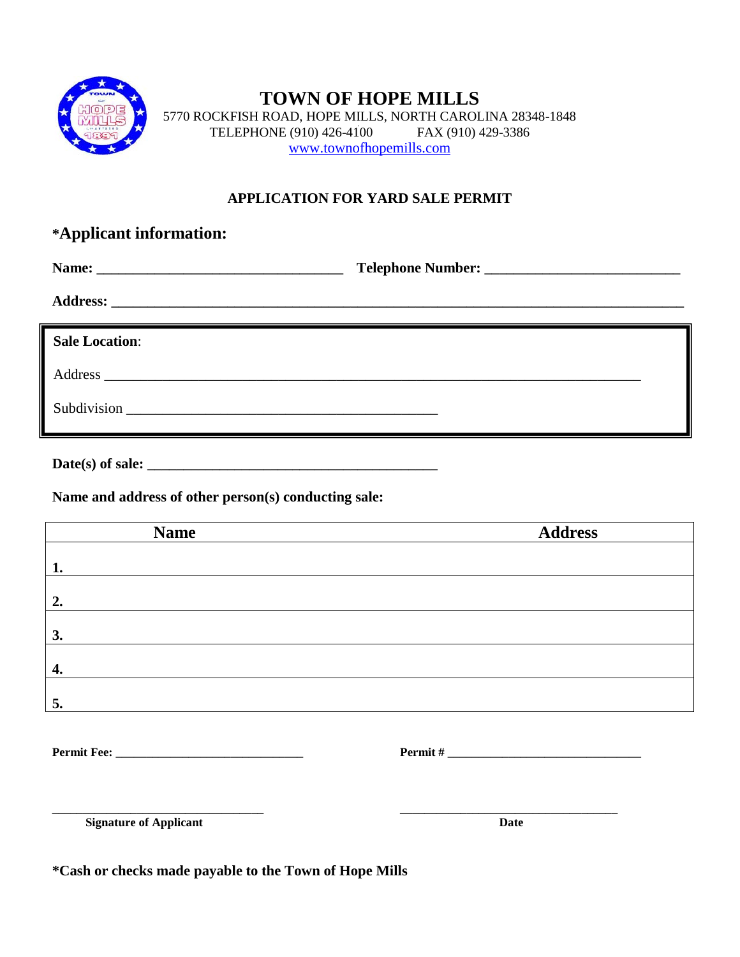

## **TOWN OF HOPE MILLS** 5770 ROCKFISH ROAD, HOPE MILLS, NORTH CAROLINA 28348-1848 TELEPHONE (910) 426-4100 FAX (910) 429-3386 [www.townofhopemills.com](http://www.townofhopemills.com/)

## **APPLICATION FOR YARD SALE PERMIT**

| *Applicant information: |  |  |
|-------------------------|--|--|
|                         |  |  |
|                         |  |  |
| <b>Sale Location:</b>   |  |  |
|                         |  |  |
|                         |  |  |

| Date(s) of sale: |  |
|------------------|--|
|------------------|--|

**Name and address of other person(s) conducting sale:**

| <b>Name</b>                   | <b>Address</b> |
|-------------------------------|----------------|
|                               |                |
| 1.                            |                |
| 2.                            |                |
| 3.                            |                |
|                               |                |
| 4.                            |                |
| 5.                            |                |
|                               |                |
|                               |                |
|                               |                |
|                               |                |
| <b>Signature of Applicant</b> | <b>Date</b>    |

**\*Cash or checks made payable to the Town of Hope Mills**